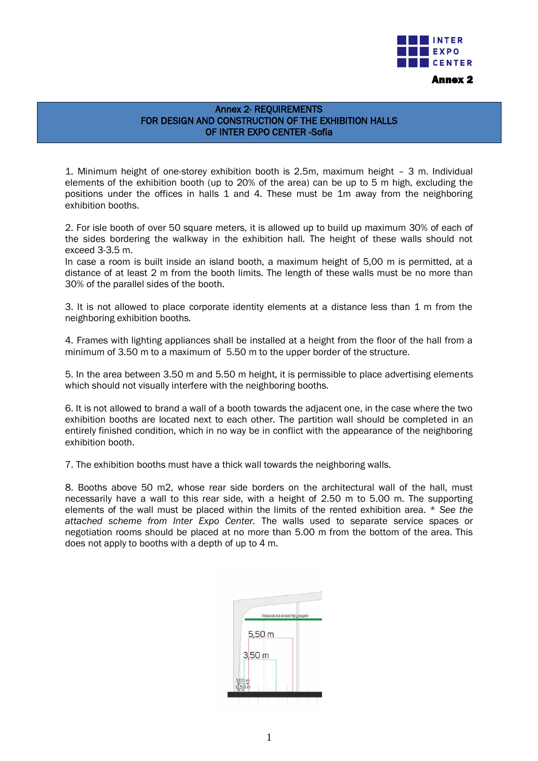

## Annex 2- REQUIREMENTS FOR DESIGN AND CONSTRUCTION OF THE EXHIBITION HALLS OF INTER EXPO CENTER -Sofia

1. Minimum height of one-storey exhibition booth is 2.5m, maximum height – 3 m. Individual elements of the exhibition booth (up to 20% of the area) can be up to 5 m high, excluding the positions under the offices in halls 1 and 4. These must be 1m away from the neighboring exhibition booths.

2. For isle booth of over 50 square meters, it is allowed up to build up maximum 30% of each of the sides bordering the walkway in the exhibition hall. The height of these walls should not exceed 3-3.5 m.

In case a room is built inside an island booth, a maximum height of 5,00 m is permitted, at a distance of at least 2 m from the booth limits. The length of these walls must be no more than 30% of the parallel sides of the booth.

3. It is not allowed to place corporate identity elements at a distance less than 1 m from the neighboring exhibition booths.

4. Frames with lighting appliances shall be installed at a height from the floor of the hall from a minimum of 3.50 m to a maximum of 5.50 m to the upper border of the structure.

5. In the area between 3.50 m and 5.50 m height, it is permissible to place advertising elements which should not visually interfere with the neighboring booths.

6. It is not allowed to brand a wall of a booth towards the adjacent one, in the case where the two exhibition booths are located next to each other. The partition wall should be completed in an entirely finished condition, which in no way be in conflict with the appearance of the neighboring exhibition booth.

7. The exhibition booths must have a thick wall towards the neighboring walls.

8. Booths above 50 m2, whose rear side borders on the architectural wall of the hall, must necessarily have a wall to this rear side, with a height of 2.50 m to 5.00 m. The supporting elements of the wall must be placed within the limits of the rented exhibition area. \* *See the attached scheme from Inter Expo Center.* The walls used to separate service spaces or negotiation rooms should be placed at no more than 5.00 m from the bottom of the area. This does not apply to booths with a depth of up to 4 m.

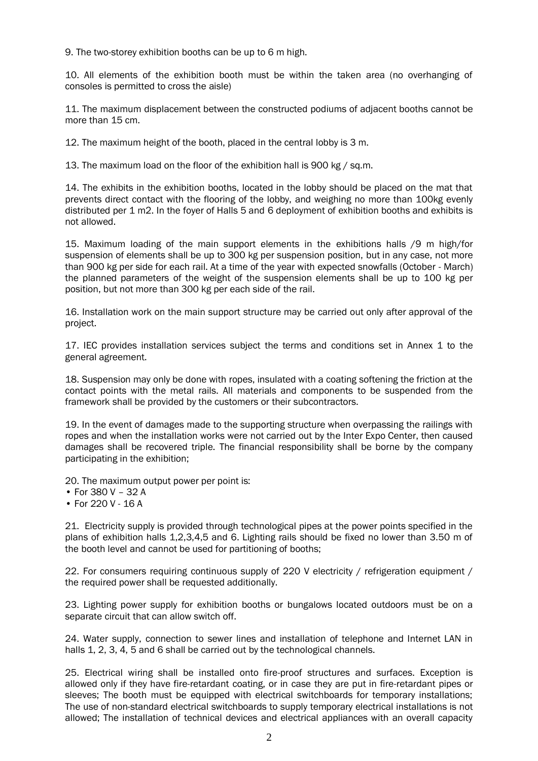9. The two-storey exhibition booths can be up to 6 m high.

10. All elements of the exhibition booth must be within the taken area (no overhanging of consoles is permitted to cross the aisle)

11. The maximum displacement between the constructed podiums of adjacent booths cannot be more than 15 cm.

12. The maximum height of the booth, placed in the central lobby is 3 m.

13. The maximum load on the floor of the exhibition hall is 900 kg / sq.m.

14. The exhibits in the exhibition booths, located in the lobby should be placed on the mat that prevents direct contact with the flooring of the lobby, and weighing no more than 100kg evenly distributed per 1 m2. In the foyer of Halls 5 and 6 deployment of exhibition booths and exhibits is not allowed.

15. Maximum loading of the main support elements in the exhibitions halls /9 m high/for suspension of elements shall be up to 300 kg per suspension position, but in any case, not more than 900 kg per side for each rail. At a time of the year with expected snowfalls (October - March) the planned parameters of the weight of the suspension elements shall be up to 100 kg per position, but not more than 300 kg per each side of the rail.

16. Installation work on the main support structure may be carried out only after approval of the project.

17. IEC provides installation services subject the terms and conditions set in Annex 1 to the general agreement.

18. Suspension may only be done with ropes, insulated with a coating softening the friction at the contact points with the metal rails. All materials and components to be suspended from the framework shall be provided by the customers or their subcontractors.

19. In the event of damages made to the supporting structure when overpassing the railings with ropes and when the installation works were not carried out by the Inter Expo Center, then caused damages shall be recovered triple. The financial responsibility shall be borne by the company participating in the exhibition;

20. The maximum output power per point is:

- For 380 V 32 A
- For 220 V 16 A

21. Electricity supply is provided through technological pipes at the power points specified in the plans of exhibition halls 1,2,3,4,5 and 6. Lighting rails should be fixed no lower than 3.50 m of the booth level and cannot be used for partitioning of booths;

22. For consumers requiring continuous supply of 220 V electricity / refrigeration equipment / the required power shall be requested additionally.

23. Lighting power supply for exhibition booths or bungalows located outdoors must be on a separate circuit that can allow switch off.

24. Water supply, connection to sewer lines and installation of telephone and Internet LAN in halls 1, 2, 3, 4, 5 and 6 shall be carried out by the technological channels.

25. Electrical wiring shall be installed onto fire-proof structures and surfaces. Exception is allowed only if they have fire-retardant coating, or in case they are put in fire-retardant pipes or sleeves; The booth must be equipped with electrical switchboards for temporary installations; The use of non-standard electrical switchboards to supply temporary electrical installations is not allowed; The installation of technical devices and electrical appliances with an overall capacity